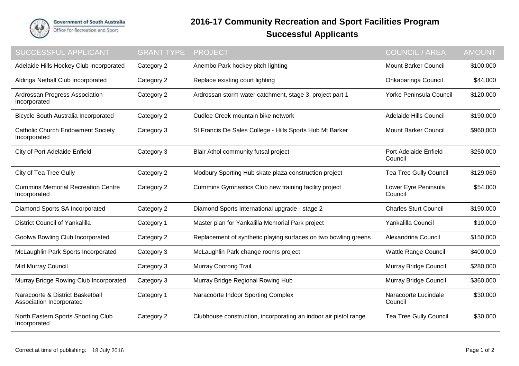

## **2016-17 Community Recreation and Sport Facilities Program Successful Applicants**

| SUCCESSFUL APPLICANT                                         | <b>GRANT TYPE</b> | <b>PROJECT</b>                                                   | <b>COUNCIL / AREA</b>            | <b>AMOUNT</b> |
|--------------------------------------------------------------|-------------------|------------------------------------------------------------------|----------------------------------|---------------|
| Adelaide Hills Hockey Club Incorporated                      | Category 2        | Anembo Park hockey pitch lighting                                | <b>Mount Barker Council</b>      | \$100,000     |
| Aldinga Netball Club Incorporated                            | Category 2        | Replace existing court lighting                                  | Onkaparinga Council              | \$44,000      |
| Ardrossan Progress Association<br>Incorporated               | Category 2        | Ardrossan storm water catchment, stage 3, project part 1         | Yorke Peninsula Council          | \$120,000     |
| <b>Bicycle South Australia Incorporated</b>                  | Category 2        | Cudlee Creek mountain bike network                               | Adelaide Hills Council           | \$190,000     |
| <b>Catholic Church Endowment Society</b><br>Incorporated     | Category 3        | St Francis De Sales College - Hills Sports Hub Mt Barker         | <b>Mount Barker Council</b>      | \$960,000     |
| City of Port Adelaide Enfield                                | Category 3        | Blair Athol community futsal project                             | Port Adelaide Enfield<br>Council | \$250,000     |
| City of Tea Tree Gully                                       | Category 2        | Modbury Sporting Hub skate plaza construction project            | <b>Tea Tree Gully Council</b>    | \$129,060     |
| <b>Cummins Memorial Recreation Centre</b><br>Incorporated    | Category 2        | Cummins Gymnastics Club new training facility project            | Lower Eyre Peninsula<br>Council  | \$54,000      |
| Diamond Sports SA Incorporated                               | Category 2        | Diamond Sports International upgrade - stage 2                   | <b>Charles Sturt Council</b>     | \$190,000     |
| <b>District Council of Yankalilla</b>                        | Category 1        | Master plan for Yankalilla Memorial Park project                 | Yankalilla Council               | \$10,000      |
| Goolwa Bowling Club Incorporated                             | Category 2        | Replacement of synthetic playing surfaces on two bowling greens  | Alexandrina Council              | \$150,000     |
| McLaughlin Park Sports Incorporated                          | Category 3        | McLaughlin Park change rooms project                             | <b>Wattle Range Council</b>      | \$400,000     |
| Mid Murray Council                                           | Category 3        | <b>Murray Coorong Trail</b>                                      | Murray Bridge Council            | \$280,000     |
| Murray Bridge Rowing Club Incorporated                       | Category 3        | Murray Bridge Regional Rowing Hub                                | Murray Bridge Council            | \$360,000     |
| Naracoorte & District Basketball<br>Association Incorporated | Category 1        | Naracoorte Indoor Sporting Complex                               | Naracoorte Lucindale<br>Council  | \$30,000      |
| North Eastern Sports Shooting Club<br>Incorporated           | Category 2        | Clubhouse construction, incorporating an indoor air pistol range | <b>Tea Tree Gully Council</b>    | \$30,000      |